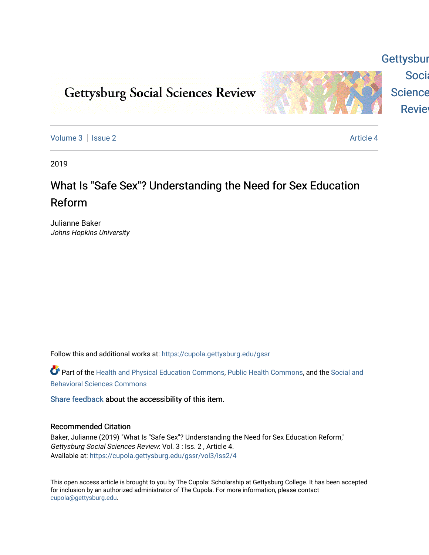# **Gettysburg Social Sciences Review**



[Volume 3](https://cupola.gettysburg.edu/gssr/vol3) | [Issue 2](https://cupola.gettysburg.edu/gssr/vol3/iss2) Article 4

**Gettysbur** 

Socia

Science

**Revie** 

2019

## What Is "Safe Sex"? Understanding the Need for Sex Education Reform

Julianne Baker Johns Hopkins University

Follow this and additional works at: [https://cupola.gettysburg.edu/gssr](https://cupola.gettysburg.edu/gssr?utm_source=cupola.gettysburg.edu%2Fgssr%2Fvol3%2Fiss2%2F4&utm_medium=PDF&utm_campaign=PDFCoverPages) 

Part of the [Health and Physical Education Commons](http://network.bepress.com/hgg/discipline/1327?utm_source=cupola.gettysburg.edu%2Fgssr%2Fvol3%2Fiss2%2F4&utm_medium=PDF&utm_campaign=PDFCoverPages), [Public Health Commons,](http://network.bepress.com/hgg/discipline/738?utm_source=cupola.gettysburg.edu%2Fgssr%2Fvol3%2Fiss2%2F4&utm_medium=PDF&utm_campaign=PDFCoverPages) and the Social and [Behavioral Sciences Commons](http://network.bepress.com/hgg/discipline/316?utm_source=cupola.gettysburg.edu%2Fgssr%2Fvol3%2Fiss2%2F4&utm_medium=PDF&utm_campaign=PDFCoverPages) 

[Share feedback](https://docs.google.com/a/bepress.com/forms/d/1h9eEcpBPj5POs5oO6Y5A0blXRmZqykoonyYiZUNyEq8/viewform) about the accessibility of this item.

### Recommended Citation

Baker, Julianne (2019) "What Is "Safe Sex"? Understanding the Need for Sex Education Reform," Gettysburg Social Sciences Review: Vol. 3 : Iss. 2 , Article 4. Available at: [https://cupola.gettysburg.edu/gssr/vol3/iss2/4](https://cupola.gettysburg.edu/gssr/vol3/iss2/4?utm_source=cupola.gettysburg.edu%2Fgssr%2Fvol3%2Fiss2%2F4&utm_medium=PDF&utm_campaign=PDFCoverPages) 

This open access article is brought to you by The Cupola: Scholarship at Gettysburg College. It has been accepted for inclusion by an authorized administrator of The Cupola. For more information, please contact [cupola@gettysburg.edu.](mailto:cupola@gettysburg.edu)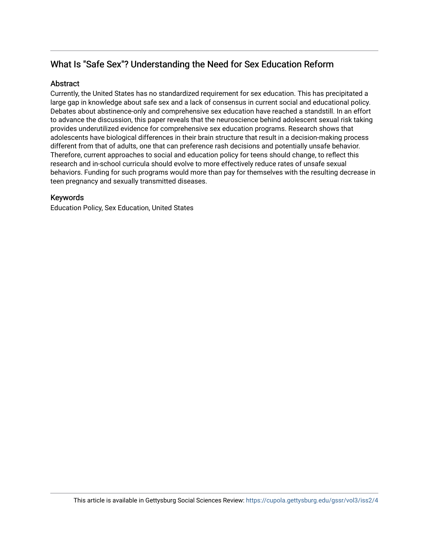## What Is "Safe Sex"? Understanding the Need for Sex Education Reform

## **Abstract**

Currently, the United States has no standardized requirement for sex education. This has precipitated a large gap in knowledge about safe sex and a lack of consensus in current social and educational policy. Debates about abstinence-only and comprehensive sex education have reached a standstill. In an effort to advance the discussion, this paper reveals that the neuroscience behind adolescent sexual risk taking provides underutilized evidence for comprehensive sex education programs. Research shows that adolescents have biological differences in their brain structure that result in a decision-making process different from that of adults, one that can preference rash decisions and potentially unsafe behavior. Therefore, current approaches to social and education policy for teens should change, to reflect this research and in-school curricula should evolve to more effectively reduce rates of unsafe sexual behaviors. Funding for such programs would more than pay for themselves with the resulting decrease in teen pregnancy and sexually transmitted diseases.

## Keywords

Education Policy, Sex Education, United States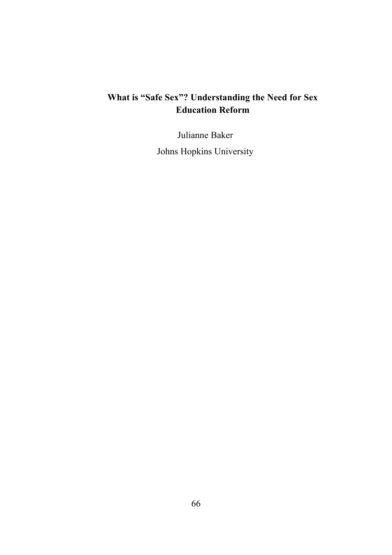### **What is "Safe Sex"? Understanding the Need for Sex Education Reform**

Julianne Baker

Johns Hopkins University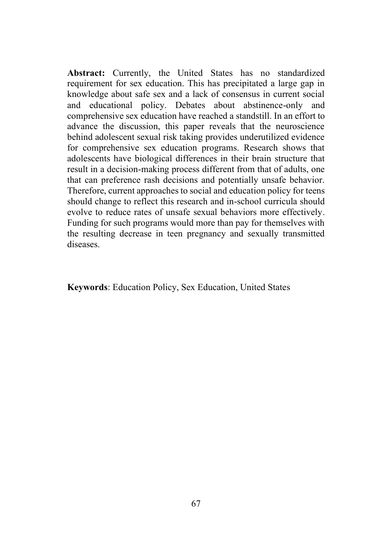**Abstract:** Currently, the United States has no standardized requirement for sex education. This has precipitated a large gap in knowledge about safe sex and a lack of consensus in current social and educational policy. Debates about abstinence-only and comprehensive sex education have reached a standstill. In an effort to advance the discussion, this paper reveals that the neuroscience behind adolescent sexual risk taking provides underutilized evidence for comprehensive sex education programs. Research shows that adolescents have biological differences in their brain structure that result in a decision-making process different from that of adults, one that can preference rash decisions and potentially unsafe behavior. Therefore, current approaches to social and education policy for teens should change to reflect this research and in-school curricula should evolve to reduce rates of unsafe sexual behaviors more effectively. Funding for such programs would more than pay for themselves with the resulting decrease in teen pregnancy and sexually transmitted diseases.

**Keywords**: Education Policy, Sex Education, United States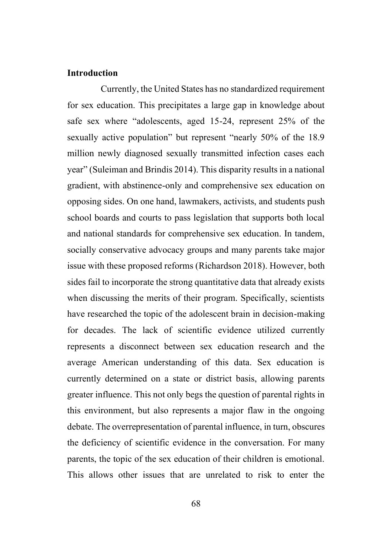#### **Introduction**

Currently, the United States has no standardized requirement for sex education. This precipitates a large gap in knowledge about safe sex where "adolescents, aged 15-24, represent 25% of the sexually active population" but represent "nearly 50% of the 18.9 million newly diagnosed sexually transmitted infection cases each year" (Suleiman and Brindis 2014). This disparity results in a national gradient, with abstinence-only and comprehensive sex education on opposing sides. On one hand, lawmakers, activists, and students push school boards and courts to pass legislation that supports both local and national standards for comprehensive sex education. In tandem, socially conservative advocacy groups and many parents take major issue with these proposed reforms (Richardson 2018). However, both sides fail to incorporate the strong quantitative data that already exists when discussing the merits of their program. Specifically, scientists have researched the topic of the adolescent brain in decision-making for decades. The lack of scientific evidence utilized currently represents a disconnect between sex education research and the average American understanding of this data. Sex education is currently determined on a state or district basis, allowing parents greater influence. This not only begs the question of parental rights in this environment, but also represents a major flaw in the ongoing debate. The overrepresentation of parental influence, in turn, obscures the deficiency of scientific evidence in the conversation. For many parents, the topic of the sex education of their children is emotional. This allows other issues that are unrelated to risk to enter the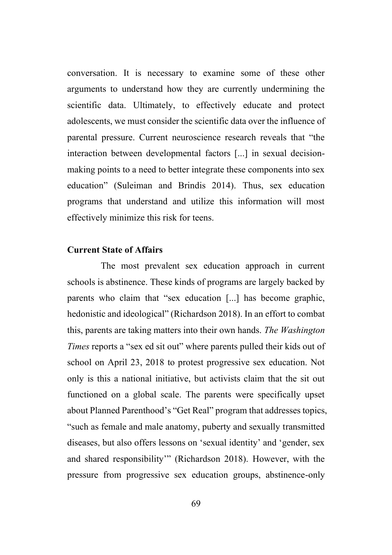conversation. It is necessary to examine some of these other arguments to understand how they are currently undermining the scientific data. Ultimately, to effectively educate and protect adolescents, we must consider the scientific data over the influence of parental pressure. Current neuroscience research reveals that "the interaction between developmental factors [...] in sexual decisionmaking points to a need to better integrate these components into sex education" (Suleiman and Brindis 2014). Thus, sex education programs that understand and utilize this information will most effectively minimize this risk for teens.

#### **Current State of Affairs**

The most prevalent sex education approach in current schools is abstinence. These kinds of programs are largely backed by parents who claim that "sex education [...] has become graphic, hedonistic and ideological" (Richardson 2018). In an effort to combat this, parents are taking matters into their own hands. *The Washington Times* reports a "sex ed sit out" where parents pulled their kids out of school on April 23, 2018 to protest progressive sex education. Not only is this a national initiative, but activists claim that the sit out functioned on a global scale. The parents were specifically upset about Planned Parenthood's "Get Real" program that addresses topics, "such as female and male anatomy, puberty and sexually transmitted diseases, but also offers lessons on 'sexual identity' and 'gender, sex and shared responsibility'" (Richardson 2018). However, with the pressure from progressive sex education groups, abstinence-only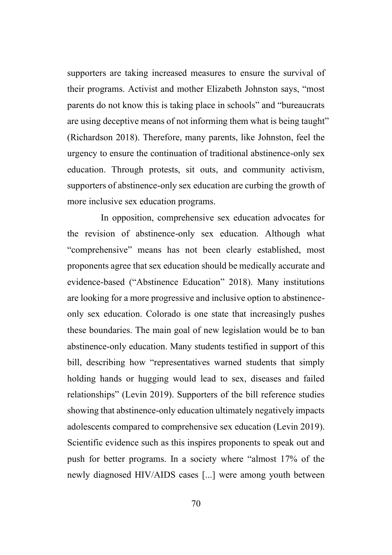supporters are taking increased measures to ensure the survival of their programs. Activist and mother Elizabeth Johnston says, "most parents do not know this is taking place in schools" and "bureaucrats are using deceptive means of not informing them what is being taught" (Richardson 2018). Therefore, many parents, like Johnston, feel the urgency to ensure the continuation of traditional abstinence-only sex education. Through protests, sit outs, and community activism, supporters of abstinence-only sex education are curbing the growth of more inclusive sex education programs.

In opposition, comprehensive sex education advocates for the revision of abstinence-only sex education. Although what "comprehensive" means has not been clearly established, most proponents agree that sex education should be medically accurate and evidence-based ("Abstinence Education" 2018). Many institutions are looking for a more progressive and inclusive option to abstinenceonly sex education. Colorado is one state that increasingly pushes these boundaries. The main goal of new legislation would be to ban abstinence-only education. Many students testified in support of this bill, describing how "representatives warned students that simply holding hands or hugging would lead to sex, diseases and failed relationships" (Levin 2019). Supporters of the bill reference studies showing that abstinence-only education ultimately negatively impacts adolescents compared to comprehensive sex education (Levin 2019). Scientific evidence such as this inspires proponents to speak out and push for better programs. In a society where "almost 17% of the newly diagnosed HIV/AIDS cases [...] were among youth between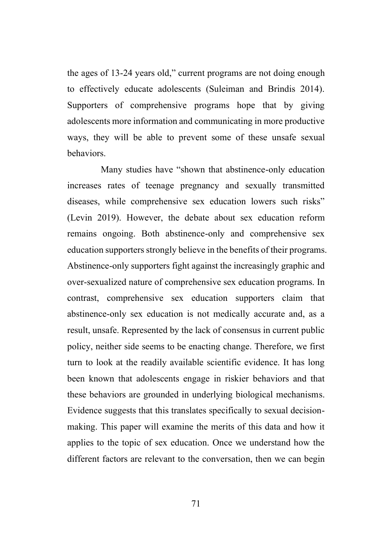the ages of 13-24 years old," current programs are not doing enough to effectively educate adolescents (Suleiman and Brindis 2014). Supporters of comprehensive programs hope that by giving adolescents more information and communicating in more productive ways, they will be able to prevent some of these unsafe sexual behaviors.

Many studies have "shown that abstinence-only education increases rates of teenage pregnancy and sexually transmitted diseases, while comprehensive sex education lowers such risks" (Levin 2019). However, the debate about sex education reform remains ongoing. Both abstinence-only and comprehensive sex education supporters strongly believe in the benefits of their programs. Abstinence-only supporters fight against the increasingly graphic and over-sexualized nature of comprehensive sex education programs. In contrast, comprehensive sex education supporters claim that abstinence-only sex education is not medically accurate and, as a result, unsafe. Represented by the lack of consensus in current public policy, neither side seems to be enacting change. Therefore, we first turn to look at the readily available scientific evidence. It has long been known that adolescents engage in riskier behaviors and that these behaviors are grounded in underlying biological mechanisms. Evidence suggests that this translates specifically to sexual decisionmaking. This paper will examine the merits of this data and how it applies to the topic of sex education. Once we understand how the different factors are relevant to the conversation, then we can begin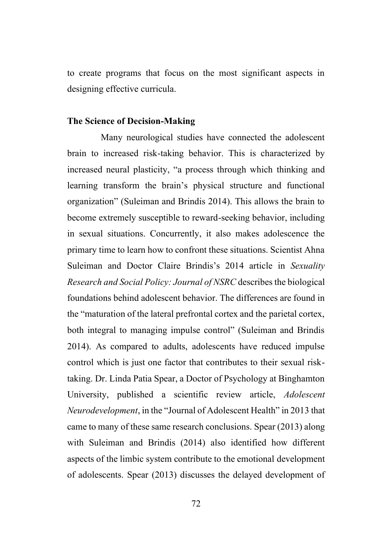to create programs that focus on the most significant aspects in designing effective curricula.

#### **The Science of Decision-Making**

Many neurological studies have connected the adolescent brain to increased risk-taking behavior. This is characterized by increased neural plasticity, "a process through which thinking and learning transform the brain's physical structure and functional organization" (Suleiman and Brindis 2014). This allows the brain to become extremely susceptible to reward-seeking behavior, including in sexual situations. Concurrently, it also makes adolescence the primary time to learn how to confront these situations. Scientist Ahna Suleiman and Doctor Claire Brindis's 2014 article in *Sexuality Research and Social Policy: Journal of NSRC* describes the biological foundations behind adolescent behavior. The differences are found in the "maturation of the lateral prefrontal cortex and the parietal cortex, both integral to managing impulse control" (Suleiman and Brindis 2014). As compared to adults, adolescents have reduced impulse control which is just one factor that contributes to their sexual risktaking. Dr. Linda Patia Spear, a Doctor of Psychology at Binghamton University, published a scientific review article, *Adolescent Neurodevelopment*, in the "Journal of Adolescent Health" in 2013 that came to many of these same research conclusions. Spear (2013) along with Suleiman and Brindis (2014) also identified how different aspects of the limbic system contribute to the emotional development of adolescents. Spear (2013) discusses the delayed development of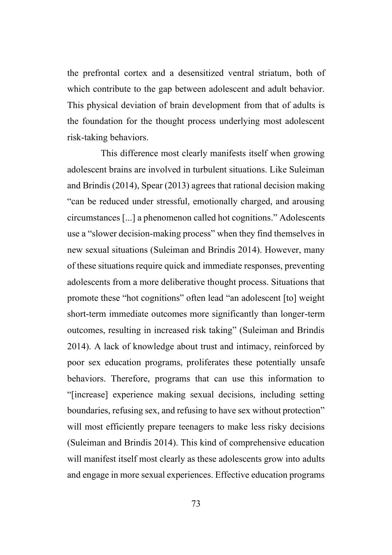the prefrontal cortex and a desensitized ventral striatum, both of which contribute to the gap between adolescent and adult behavior. This physical deviation of brain development from that of adults is the foundation for the thought process underlying most adolescent risk-taking behaviors.

This difference most clearly manifests itself when growing adolescent brains are involved in turbulent situations. Like Suleiman and Brindis (2014), Spear (2013) agrees that rational decision making "can be reduced under stressful, emotionally charged, and arousing circumstances [...] a phenomenon called hot cognitions." Adolescents use a "slower decision-making process" when they find themselves in new sexual situations (Suleiman and Brindis 2014). However, many of these situations require quick and immediate responses, preventing adolescents from a more deliberative thought process. Situations that promote these "hot cognitions" often lead "an adolescent [to] weight short-term immediate outcomes more significantly than longer-term outcomes, resulting in increased risk taking" (Suleiman and Brindis 2014). A lack of knowledge about trust and intimacy, reinforced by poor sex education programs, proliferates these potentially unsafe behaviors. Therefore, programs that can use this information to "[increase] experience making sexual decisions, including setting boundaries, refusing sex, and refusing to have sex without protection" will most efficiently prepare teenagers to make less risky decisions (Suleiman and Brindis 2014). This kind of comprehensive education will manifest itself most clearly as these adolescents grow into adults and engage in more sexual experiences. Effective education programs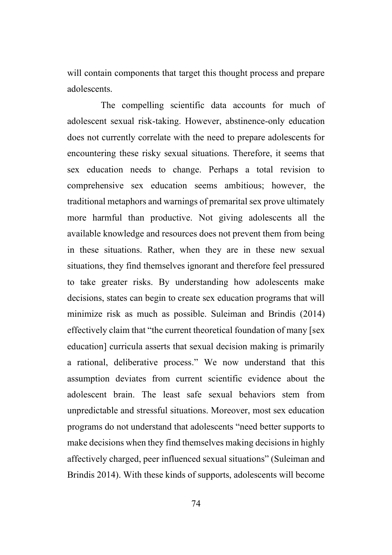will contain components that target this thought process and prepare adolescents.

The compelling scientific data accounts for much of adolescent sexual risk-taking. However, abstinence-only education does not currently correlate with the need to prepare adolescents for encountering these risky sexual situations. Therefore, it seems that sex education needs to change. Perhaps a total revision to comprehensive sex education seems ambitious; however, the traditional metaphors and warnings of premarital sex prove ultimately more harmful than productive. Not giving adolescents all the available knowledge and resources does not prevent them from being in these situations. Rather, when they are in these new sexual situations, they find themselves ignorant and therefore feel pressured to take greater risks. By understanding how adolescents make decisions, states can begin to create sex education programs that will minimize risk as much as possible. Suleiman and Brindis (2014) effectively claim that "the current theoretical foundation of many [sex education] curricula asserts that sexual decision making is primarily a rational, deliberative process." We now understand that this assumption deviates from current scientific evidence about the adolescent brain. The least safe sexual behaviors stem from unpredictable and stressful situations. Moreover, most sex education programs do not understand that adolescents "need better supports to make decisions when they find themselves making decisions in highly affectively charged, peer influenced sexual situations" (Suleiman and Brindis 2014). With these kinds of supports, adolescents will become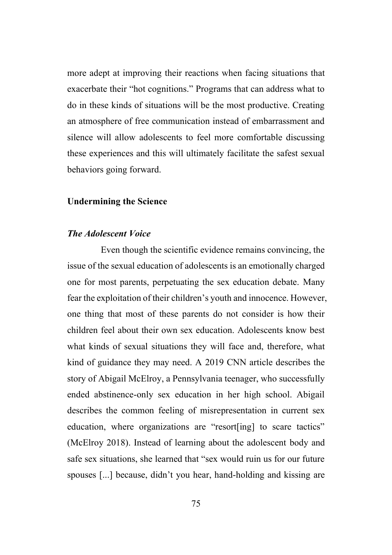more adept at improving their reactions when facing situations that exacerbate their "hot cognitions." Programs that can address what to do in these kinds of situations will be the most productive. Creating an atmosphere of free communication instead of embarrassment and silence will allow adolescents to feel more comfortable discussing these experiences and this will ultimately facilitate the safest sexual behaviors going forward.

#### **Undermining the Science**

#### *The Adolescent Voice*

Even though the scientific evidence remains convincing, the issue of the sexual education of adolescents is an emotionally charged one for most parents, perpetuating the sex education debate. Many fear the exploitation of their children's youth and innocence. However, one thing that most of these parents do not consider is how their children feel about their own sex education. Adolescents know best what kinds of sexual situations they will face and, therefore, what kind of guidance they may need. A 2019 CNN article describes the story of Abigail McElroy, a Pennsylvania teenager, who successfully ended abstinence-only sex education in her high school. Abigail describes the common feeling of misrepresentation in current sex education, where organizations are "resort [ing] to scare tactics" (McElroy 2018). Instead of learning about the adolescent body and safe sex situations, she learned that "sex would ruin us for our future spouses [...] because, didn't you hear, hand-holding and kissing are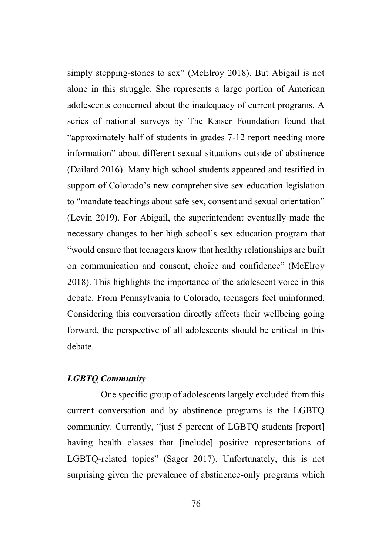simply stepping-stones to sex" (McElroy 2018). But Abigail is not alone in this struggle. She represents a large portion of American adolescents concerned about the inadequacy of current programs. A series of national surveys by The Kaiser Foundation found that "approximately half of students in grades 7-12 report needing more information" about different sexual situations outside of abstinence (Dailard 2016). Many high school students appeared and testified in support of Colorado's new comprehensive sex education legislation to "mandate teachings about safe sex, consent and sexual orientation" (Levin 2019). For Abigail, the superintendent eventually made the necessary changes to her high school's sex education program that "would ensure that teenagers know that healthy relationships are built on communication and consent, choice and confidence" (McElroy 2018). This highlights the importance of the adolescent voice in this debate. From Pennsylvania to Colorado, teenagers feel uninformed. Considering this conversation directly affects their wellbeing going forward, the perspective of all adolescents should be critical in this debate.

#### *LGBTQ Community*

One specific group of adolescents largely excluded from this current conversation and by abstinence programs is the LGBTQ community. Currently, "just 5 percent of LGBTQ students [report] having health classes that [include] positive representations of LGBTQ-related topics" (Sager 2017). Unfortunately, this is not surprising given the prevalence of abstinence-only programs which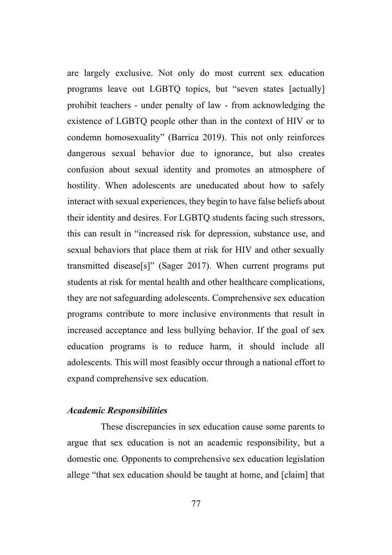are largely exclusive. Not only do most current sex education programs leave out LGBTQ topics, but "seven states [actually] prohibit teachers - under penalty of law - from acknowledging the existence of LGBTQ people other than in the context of HIV or to condemn homosexuality" (Barrica 2019). This not only reinforces dangerous sexual behavior due to ignorance, but also creates confusion about sexual identity and promotes an atmosphere of hostility. When adolescents are uneducated about how to safely interact with sexual experiences, they begin to have false beliefs about their identity and desires. For LGBTQ students facing such stressors, this can result in "increased risk for depression, substance use, and sexual behaviors that place them at risk for HIV and other sexually transmitted disease[s]" (Sager 2017). When current programs put students at risk for mental health and other healthcare complications, they are not safeguarding adolescents. Comprehensive sex education programs contribute to more inclusive environments that result in increased acceptance and less bullying behavior. If the goal of sex education programs is to reduce harm, it should include all adolescents. This will most feasibly occur through a national effort to expand comprehensive sex education.

#### *Academic Responsibilities*

These discrepancies in sex education cause some parents to argue that sex education is not an academic responsibility, but a domestic one. Opponents to comprehensive sex education legislation allege "that sex education should be taught at home, and [claim] that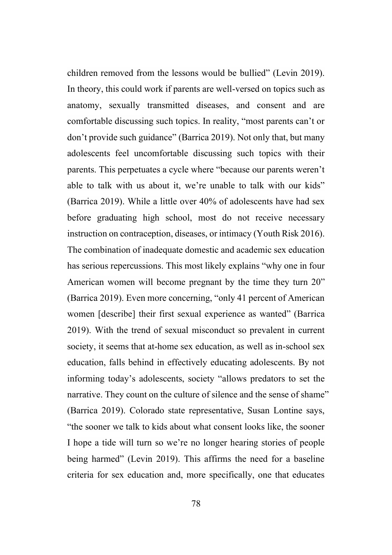children removed from the lessons would be bullied" (Levin 2019). In theory, this could work if parents are well-versed on topics such as anatomy, sexually transmitted diseases, and consent and are comfortable discussing such topics. In reality, "most parents can't or don't provide such guidance" (Barrica 2019). Not only that, but many adolescents feel uncomfortable discussing such topics with their parents. This perpetuates a cycle where "because our parents weren't able to talk with us about it, we're unable to talk with our kids" (Barrica 2019). While a little over 40% of adolescents have had sex before graduating high school, most do not receive necessary instruction on contraception, diseases, or intimacy (Youth Risk 2016). The combination of inadequate domestic and academic sex education has serious repercussions. This most likely explains "why one in four American women will become pregnant by the time they turn 20" (Barrica 2019). Even more concerning, "only 41 percent of American women [describe] their first sexual experience as wanted" (Barrica 2019). With the trend of sexual misconduct so prevalent in current society, it seems that at-home sex education, as well as in-school sex education, falls behind in effectively educating adolescents. By not informing today's adolescents, society "allows predators to set the narrative. They count on the culture of silence and the sense of shame" (Barrica 2019). Colorado state representative, Susan Lontine says, "the sooner we talk to kids about what consent looks like, the sooner I hope a tide will turn so we're no longer hearing stories of people being harmed" (Levin 2019). This affirms the need for a baseline criteria for sex education and, more specifically, one that educates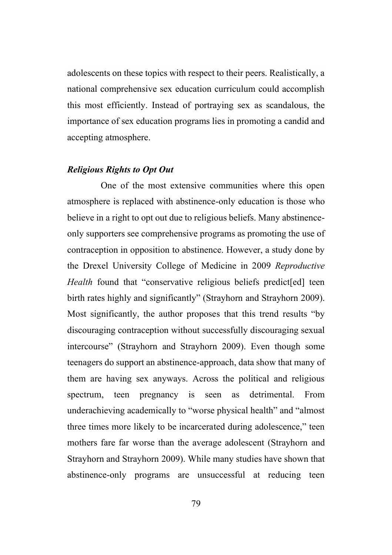adolescents on these topics with respect to their peers. Realistically, a national comprehensive sex education curriculum could accomplish this most efficiently. Instead of portraying sex as scandalous, the importance of sex education programs lies in promoting a candid and accepting atmosphere.

#### *Religious Rights to Opt Out*

One of the most extensive communities where this open atmosphere is replaced with abstinence-only education is those who believe in a right to opt out due to religious beliefs. Many abstinenceonly supporters see comprehensive programs as promoting the use of contraception in opposition to abstinence. However, a study done by the Drexel University College of Medicine in 2009 *Reproductive Health* found that "conservative religious beliefs predict [ed] teen birth rates highly and significantly" (Strayhorn and Strayhorn 2009). Most significantly, the author proposes that this trend results "by discouraging contraception without successfully discouraging sexual intercourse" (Strayhorn and Strayhorn 2009). Even though some teenagers do support an abstinence-approach, data show that many of them are having sex anyways. Across the political and religious spectrum, teen pregnancy is seen as detrimental. From underachieving academically to "worse physical health" and "almost three times more likely to be incarcerated during adolescence," teen mothers fare far worse than the average adolescent (Strayhorn and Strayhorn and Strayhorn 2009). While many studies have shown that abstinence-only programs are unsuccessful at reducing teen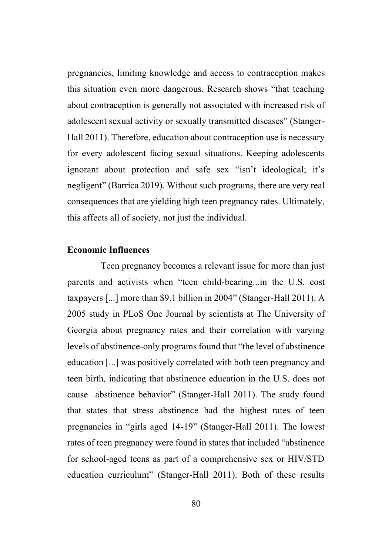pregnancies, limiting knowledge and access to contraception makes this situation even more dangerous. Research shows "that teaching about contraception is generally not associated with increased risk of adolescent sexual activity or sexually transmitted diseases" (Stanger-Hall 2011). Therefore, education about contraception use is necessary for every adolescent facing sexual situations. Keeping adolescents ignorant about protection and safe sex "isn't ideological; it's negligent" (Barrica 2019). Without such programs, there are very real consequences that are yielding high teen pregnancy rates. Ultimately, this affects all of society, not just the individual.

#### **Economic Influences**

Teen pregnancy becomes a relevant issue for more than just parents and activists when "teen child-bearing...in the U.S. cost taxpayers [...] more than \$9.1 billion in 2004" (Stanger-Hall 2011). A 2005 study in PLoS One Journal by scientists at The University of Georgia about pregnancy rates and their correlation with varying levels of abstinence-only programs found that "the level of abstinence education [...] was positively correlated with both teen pregnancy and teen birth, indicating that abstinence education in the U.S. does not cause abstinence behavior" (Stanger-Hall 2011). The study found that states that stress abstinence had the highest rates of teen pregnancies in "girls aged 14-19" (Stanger-Hall 2011). The lowest rates of teen pregnancy were found in states that included "abstinence for school-aged teens as part of a comprehensive sex or HIV/STD education curriculum" (Stanger-Hall 2011). Both of these results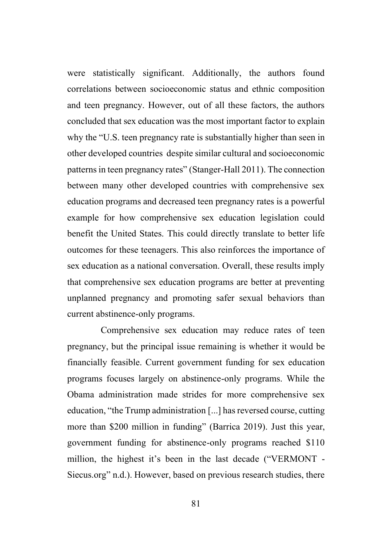were statistically significant. Additionally, the authors found correlations between socioeconomic status and ethnic composition and teen pregnancy. However, out of all these factors, the authors concluded that sex education was the most important factor to explain why the "U.S. teen pregnancy rate is substantially higher than seen in other developed countries despite similar cultural and socioeconomic patterns in teen pregnancy rates" (Stanger-Hall 2011). The connection between many other developed countries with comprehensive sex education programs and decreased teen pregnancy rates is a powerful example for how comprehensive sex education legislation could benefit the United States. This could directly translate to better life outcomes for these teenagers. This also reinforces the importance of sex education as a national conversation. Overall, these results imply that comprehensive sex education programs are better at preventing unplanned pregnancy and promoting safer sexual behaviors than current abstinence-only programs.

Comprehensive sex education may reduce rates of teen pregnancy, but the principal issue remaining is whether it would be financially feasible. Current government funding for sex education programs focuses largely on abstinence-only programs. While the Obama administration made strides for more comprehensive sex education, "the Trump administration [...] has reversed course, cutting more than \$200 million in funding" (Barrica 2019). Just this year, government funding for abstinence-only programs reached \$110 million, the highest it's been in the last decade ("VERMONT - Siecus.org" n.d.). However, based on previous research studies, there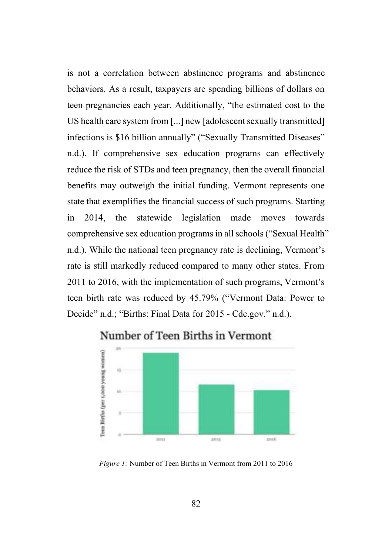is not a correlation between abstinence programs and abstinence behaviors. As a result, taxpayers are spending billions of dollars on teen pregnancies each year. Additionally, "the estimated cost to the US health care system from [...] new [adolescent sexually transmitted] infections is \$16 billion annually" ("Sexually Transmitted Diseases" n.d.). If comprehensive sex education programs can effectively reduce the risk of STDs and teen pregnancy, then the overall financial benefits may outweigh the initial funding. Vermont represents one state that exemplifies the financial success of such programs. Starting in 2014, the statewide legislation made moves towards comprehensive sex education programs in all schools ("Sexual Health" n.d.). While the national teen pregnancy rate is declining, Vermont's rate is still markedly reduced compared to many other states. From 2011 to 2016, with the implementation of such programs, Vermont's teen birth rate was reduced by 45.79% ("Vermont Data: Power to Decide" n.d.; "Births: Final Data for 2015 - Cdc.gov." n.d.).



Number of Teen Births in Vermont

*Figure 1:* Number of Teen Births in Vermont from 2011 to 2016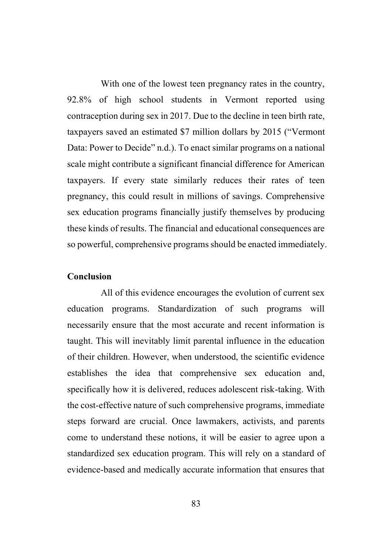With one of the lowest teen pregnancy rates in the country, 92.8% of high school students in Vermont reported using contraception during sex in 2017. Due to the decline in teen birth rate, taxpayers saved an estimated \$7 million dollars by 2015 ("Vermont Data: Power to Decide" n.d.). To enact similar programs on a national scale might contribute a significant financial difference for American taxpayers. If every state similarly reduces their rates of teen pregnancy, this could result in millions of savings. Comprehensive sex education programs financially justify themselves by producing these kinds of results. The financial and educational consequences are so powerful, comprehensive programs should be enacted immediately.

#### **Conclusion**

All of this evidence encourages the evolution of current sex education programs. Standardization of such programs will necessarily ensure that the most accurate and recent information is taught. This will inevitably limit parental influence in the education of their children. However, when understood, the scientific evidence establishes the idea that comprehensive sex education and, specifically how it is delivered, reduces adolescent risk-taking. With the cost-effective nature of such comprehensive programs, immediate steps forward are crucial. Once lawmakers, activists, and parents come to understand these notions, it will be easier to agree upon a standardized sex education program. This will rely on a standard of evidence-based and medically accurate information that ensures that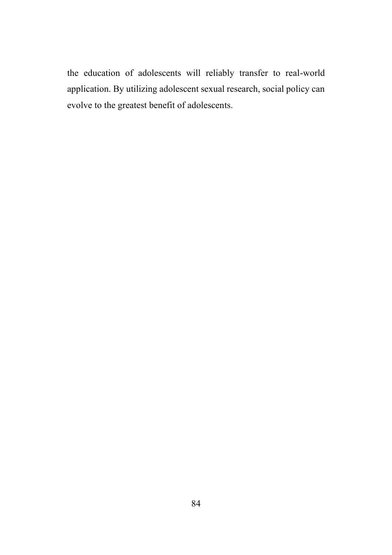the education of adolescents will reliably transfer to real-world application. By utilizing adolescent sexual research, social policy can evolve to the greatest benefit of adolescents.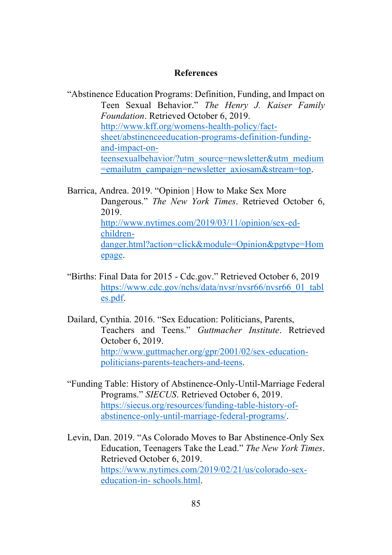#### **References**

"Abstinence Education Programs: Definition, Funding, and Impact on Teen Sexual Behavior." *The Henry J. Kaiser Family Foundation*. Retrieved October 6, 2019. [http://www.kff.org/womens-health-policy/fact](http://www.kff.org/womens-health-policy/fact-sheet/abstinenceeducation-programs-definition-funding-and-impact-on-teensexualbehavior/?utm_source=newsletter&utm_medium=emailutm_campaign=newsletter_axiosam&stream=top)[sheet/abstinenceeducation-programs-definition-funding](http://www.kff.org/womens-health-policy/fact-sheet/abstinenceeducation-programs-definition-funding-and-impact-on-teensexualbehavior/?utm_source=newsletter&utm_medium=emailutm_campaign=newsletter_axiosam&stream=top)[and-impact-on](http://www.kff.org/womens-health-policy/fact-sheet/abstinenceeducation-programs-definition-funding-and-impact-on-teensexualbehavior/?utm_source=newsletter&utm_medium=emailutm_campaign=newsletter_axiosam&stream=top)[teensexualbehavior/?utm\\_source=newsletter&utm\\_medium](http://www.kff.org/womens-health-policy/fact-sheet/abstinenceeducation-programs-definition-funding-and-impact-on-teensexualbehavior/?utm_source=newsletter&utm_medium=emailutm_campaign=newsletter_axiosam&stream=top) [=emailutm\\_campaign=newsletter\\_axiosam&stream=top.](http://www.kff.org/womens-health-policy/fact-sheet/abstinenceeducation-programs-definition-funding-and-impact-on-teensexualbehavior/?utm_source=newsletter&utm_medium=emailutm_campaign=newsletter_axiosam&stream=top)

Barrica, Andrea. 2019. "Opinion | How to Make Sex More Dangerous." *The New York Times*. Retrieved October 6, 2019. [http://www.nytimes.com/2019/03/11/opinion/sex-ed](http://www.nytimes.com/2019/03/11/opinion/sex-ed-children-danger.html?action=click&module=Opinion&pgtype=Homepage)[children](http://www.nytimes.com/2019/03/11/opinion/sex-ed-children-danger.html?action=click&module=Opinion&pgtype=Homepage)[danger.html?action=click&module=Opinion&pgtype=Hom](http://www.nytimes.com/2019/03/11/opinion/sex-ed-children-danger.html?action=click&module=Opinion&pgtype=Homepage) [epage.](http://www.nytimes.com/2019/03/11/opinion/sex-ed-children-danger.html?action=click&module=Opinion&pgtype=Homepage) 

- "Births: Final Data for 2015 Cdc.gov." Retrieved October 6, 2019 [https://www.cdc.gov/nchs/data/nvsr/nvsr66/nvsr66\\_01\\_tabl](https://www.cdc.gov/nchs/data/nvsr/nvsr66/nvsr66_01_tables.pdf) [es.pdf.](https://www.cdc.gov/nchs/data/nvsr/nvsr66/nvsr66_01_tables.pdf)
- Dailard, Cynthia. 2016. "Sex Education: Politicians, Parents, Teachers and Teens." *Guttmacher Institute*. Retrieved October 6, 2019. [http://www.guttmacher.org/gpr/2001/02/sex-education](http://www.guttmacher.org/gpr/2001/02/sex-education-politicians-parents-teachers-and-teens)[politicians-parents-teachers-and-teens.](http://www.guttmacher.org/gpr/2001/02/sex-education-politicians-parents-teachers-and-teens)
- "Funding Table: History of Abstinence-Only-Until-Marriage Federal Programs." *SIECUS*. Retrieved October 6, 2019. [https://siecus.org/resources/funding-table-history-of](https://siecus.org/resources/funding-table-history-of-abstinence-only-until-marriage-federal-programs/)[abstinence-only-until-marriage-federal-programs/.](https://siecus.org/resources/funding-table-history-of-abstinence-only-until-marriage-federal-programs/)

Levin, Dan. 2019. "As Colorado Moves to Bar Abstinence-Only Sex Education, Teenagers Take the Lead." *The New York Times*. Retrieved October 6, 2019. [https://www.nytimes.com/2019/02/21/us/colorado-sex](https://www.nytimes.com/2019/02/21/us/colorado-sex-education-in-%20schools.html)[education-in-](https://www.nytimes.com/2019/02/21/us/colorado-sex-education-in-%20schools.html) schools.html.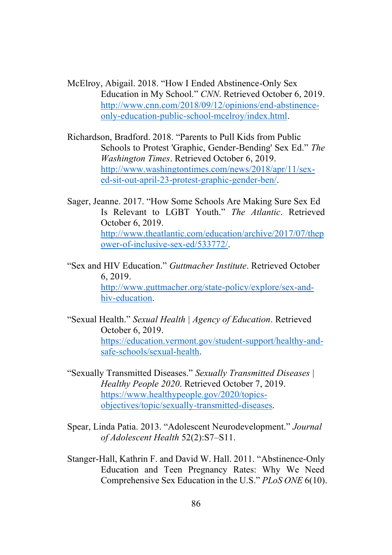McElroy, Abigail. 2018. "How I Ended Abstinence-Only Sex Education in My School." *CNN*. Retrieved October 6, 2019. [http://www.cnn.com/2018/09/12/opinions/end-abstinence](http://www.cnn.com/2018/09/12/opinions/end-abstinence-only-education-public-school-mcelroy/index.html)[only-education-public-school-mcelroy/index.html.](http://www.cnn.com/2018/09/12/opinions/end-abstinence-only-education-public-school-mcelroy/index.html)

Richardson, Bradford. 2018. "Parents to Pull Kids from Public Schools to Protest 'Graphic, Gender-Bending' Sex Ed." *The Washington Times*. Retrieved October 6, 2019. [http://www.washingtontimes.com/news/2018/apr/11/sex](http://www.washingtontimes.com/news/2018/apr/11/sex-ed-sit-out-april-23-protest-graphic-gender-ben/)[ed-sit-out-april-23-protest-graphic-gender-ben/.](http://www.washingtontimes.com/news/2018/apr/11/sex-ed-sit-out-april-23-protest-graphic-gender-ben/)

- Sager, Jeanne. 2017. "How Some Schools Are Making Sure Sex Ed Is Relevant to LGBT Youth." *The Atlantic*. Retrieved October 6, 2019. [http://www.theatlantic.com/education/archive/2017/07/thep](http://www.theatlantic.com/education/archive/2017/07/thepower-of-inclusive-sex-ed/533772/) [ower-of-inclusive-sex-ed/533772/.](http://www.theatlantic.com/education/archive/2017/07/thepower-of-inclusive-sex-ed/533772/)
- "Sex and HIV Education." *Guttmacher Institute*. Retrieved October 6, 2019. [http://www.guttmacher.org/state-policy/explore/sex-and](http://www.guttmacher.org/state-policy/explore/sex-and-hiv-education)[hiv-education.](http://www.guttmacher.org/state-policy/explore/sex-and-hiv-education)
- "Sexual Health." *Sexual Health | Agency of Education*. Retrieved October 6, 2019. [https://education.vermont.gov/student-support/healthy-and](https://education.vermont.gov/student-support/healthy-and-safe-schools/sexual-health)[safe-schools/sexual-health.](https://education.vermont.gov/student-support/healthy-and-safe-schools/sexual-health)
- "Sexually Transmitted Diseases." *Sexually Transmitted Diseases | Healthy People 2020*. Retrieved October 7, 2019. [https://www.healthypeople.gov/2020/topics](https://www.healthypeople.gov/2020/topics-objectives/topic/sexually-transmitted-diseases)[objectives/topic/sexually-transmitted-diseases.](https://www.healthypeople.gov/2020/topics-objectives/topic/sexually-transmitted-diseases)
- Spear, Linda Patia. 2013. "Adolescent Neurodevelopment." *Journal of Adolescent Health* 52(2):S7–S11.
- Stanger-Hall, Kathrin F. and David W. Hall. 2011. "Abstinence-Only Education and Teen Pregnancy Rates: Why We Need Comprehensive Sex Education in the U.S." *PLoS ONE* 6(10).